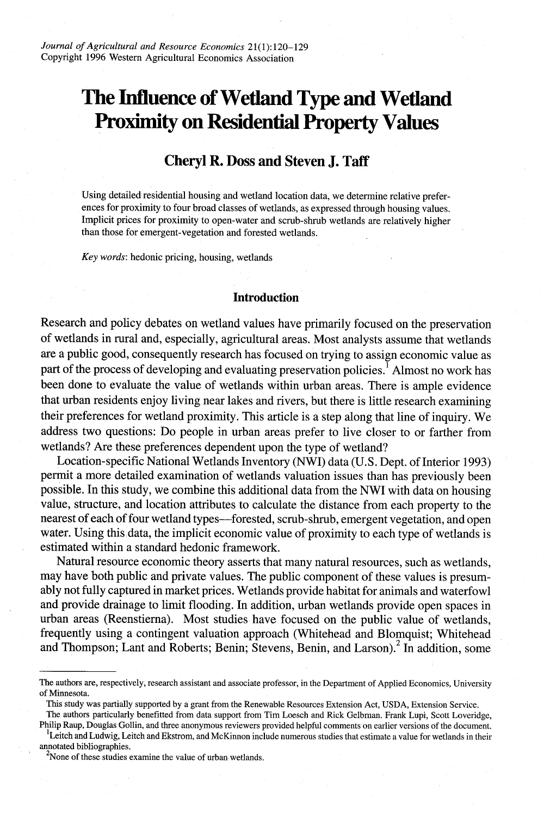# **The Influence of Wetland Type and Wetland Proximity on Residential Property Values**

# **Cheryl R. Doss and Steven J. Taff**

Using detailed residential housing and wetland location data, we determine relative preferences for proximity to four broad classes of wetlands, as expressed through housing values. Implicit prices for proximity to open-water and scrub-shrub wetlands are relatively higher than those for emergent-vegetation and forested wetlands.

*Key words:* hedonic pricing, housing, wetlands

#### **Introduction**

Research and policy debates on wetland values have primarily focused on the preservation of wetlands in rural and, especially, agricultural areas. Most analysts assume that wetlands are a public good, consequently research has focused on trying to assign economic value as part of the process of developing and evaluating preservation policies.<sup>1</sup> Almost no work has been done to evaluate the value of wetlands within urban areas. There is ample evidence that urban residents enjoy living near lakes and rivers, but there is little research examining their preferences for wetland proximity. This article is a step along that line of inquiry. We address two questions: Do people in urban areas prefer to live closer to or farther from wetlands? Are these preferences dependent upon the type of wetland?

Location-specific National Wetlands Inventory (NWI) data (U.S. Dept. of Interior 1993) permit a more detailed examination of wetlands valuation issues than has previously been possible. In this study, we combine this additional data from the NWI with data on housing value, structure, and location attributes to calculate the distance from each property to the nearest of each of four wetland types-forested, scrub-shrub, emergent vegetation, and open water. Using this data, the implicit economic value of proximity to each type of wetlands is estimated within a standard hedonic framework.

Natural resource economic theory asserts that many natural resources, such as wetlands, may have both public and private values. The public component of these values is presumably not fully captured in market prices. Wetlands provide habitat for animals and waterfowl and provide drainage to limit flooding. In addition, urban wetlands provide open spaces in urban areas (Reenstierna). Most studies have focused on the public value of wetlands, frequently using a contingent valuation approach (Whitehead and Blomquist; Whitehead and Thompson; Lant and Roberts; Benin; Stevens, Benin, and Larson).<sup>2</sup> In addition, some

The authors particularly benefitted from data support from Tim Loesch and Rick Gelbman. Frank Lupi, Scott Loveridge,

Philip Raup, Douglas Gollin, and three anonymous reviewers provided helpful comments on earlier versions of the document. <sup>L</sup>Leitch and Ludwig, Leitch and Ekstrom, and McKinnon include numerous studies that estimate a value for wetlands in their annotated bibliographies. <sup>2</sup>

The authors are, respectively, research assistant and associate professor, in the Department of Applied Economics, University of Minnesota.

This study was partially supported by a grant from the Renewable Resources Extension Act, USDA, Extension Service.

<sup>&</sup>lt;sup>2</sup>None of these studies examine the value of urban wetlands.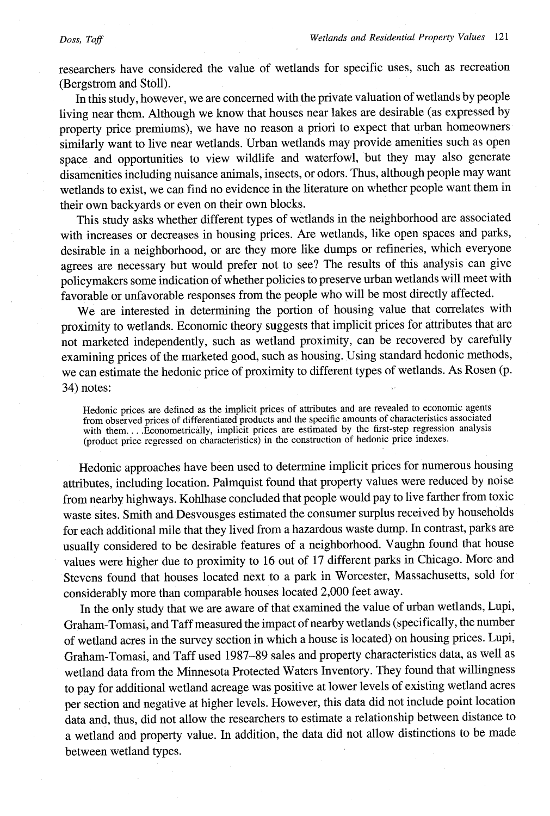#### *Doss, Taff*

researchers have considered the value of wetlands for specific uses, such as recreation (Bergstrom and Stoll).

In this study, however, we are concerned with the private valuation of wetlands by people living near them. Although we know that houses near lakes are desirable (as expressed by property price premiums), we have no reason a priori to expect that urban homeowners similarly want to live near wetlands. Urban wetlands may provide amenities such as open space and opportunities to view wildlife and waterfowl, but they may also generate disamenities including nuisance animals, insects, or odors. Thus, although people may want wetlands to exist, we can find no evidence in the literature on whether people want them in their own backyards or even on their own blocks.

This study asks whether different types of wetlands in the neighborhood are associated with increases or decreases in housing prices. Are wetlands, like open spaces and parks, desirable in a neighborhood, or are they more like dumps or refineries, which everyone agrees are necessary but would prefer not to see? The results of this analysis can give policymakers some indication of whether policies to preserve urban wetlands will meet with favorable or unfavorable responses from the people who will be most directly affected.

We are interested in determining the portion of housing value that correlates with proximity to wetlands. Economic theory suggests that implicit prices for attributes that are not marketed independently, such as wetland proximity, can be recovered by carefully examining prices of the marketed good, such as housing. Using standard hedonic methods, we can estimate the hedonic price of proximity to different types of wetlands. As Rosen (p. 34) notes:

Hedonic prices are defined as the implicit prices of attributes and are revealed to economic agents from observed prices of differentiated products and the specific amounts of characteristics associated with them... .Econometrically, implicit prices are estimated by the first-step regression analysis (product price regressed on characteristics) in the construction of hedonic price indexes.

Hedonic approaches have been used to determine implicit prices for numerous housing attributes, including location. Palmquist found that property values were reduced by noise from nearby highways. Kohlhase concluded that people would pay to live farther from toxic waste sites. Smith and Desvousges estimated the consumer surplus received by households for each additional mile that they lived from a hazardous waste dump. In contrast, parks are usually considered to be desirable features of a neighborhood. Vaughn found that house values were higher due to proximity to 16 out of 17 different parks in Chicago. More and Stevens found that houses located next to a park in Worcester, Massachusetts, sold for considerably more than comparable houses located 2,000 feet away.

In the only study that we are aware of that examined the value of urban wetlands, Lupi, Graham-Tomasi, and Taff measured the impact of nearby wetlands (specifically, the number of wetland acres in the survey section in which a house is located) on housing prices. Lupi, Graham-Tomasi, and Taff used 1987-89 sales and property characteristics data, as well as wetland data from the Minnesota Protected Waters Inventory. They found that willingness to pay for additional wetland acreage was positive at lower levels of existing wetland acres per section and negative at higher levels. However, this data did not include point location data and, thus, did not allow the researchers to estimate a relationship between distance to a wetland and property value. In addition, the data did not allow distinctions to be made between wetland types.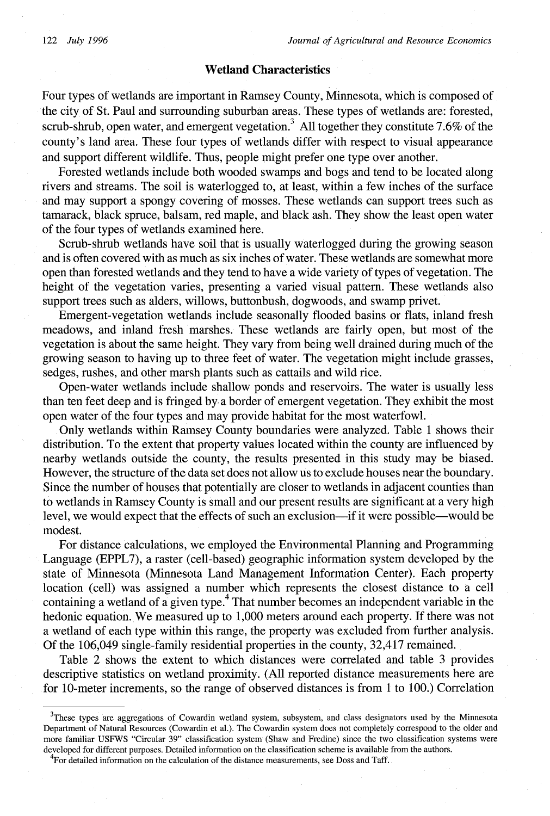# **Wetland Characteristics**

Four types of wetlands are important in Ramsey County, Minnesota, which is composed of the city of St. Paul and surrounding suburban areas. These types of wetlands are: forested, scrub-shrub, open water, and emergent vegetation.<sup>3</sup> All together they constitute 7.6% of the county's land area. These four types of wetlands differ with respect to visual appearance and support different wildlife. Thus, people might prefer one type over another.

Forested wetlands include both wooded swamps and bogs and tend to be located along rivers and streams. The soil is waterlogged to, at least, within a few inches of the surface and may support a spongy covering of mosses. These wetlands can support trees such as tamarack, black spruce, balsam, red maple, and black ash. They show the least open water of the four types of wetlands examined here.

Scrub-shrub wetlands have soil that is usually waterlogged during the growing season and is often covered with as much as six inches of water. These wetlands are somewhat more open than forested wetlands and they tend to have a wide variety of types of vegetation. The height of the vegetation varies, presenting a varied visual pattern. These wetlands also support trees such as alders, willows, buttonbush, dogwoods, and swamp privet.

Emergent-vegetation wetlands include seasonally flooded basins or flats, inland fresh meadows, and inland fresh marshes. These wetlands are fairly open, but most of the vegetation is about the same height. They vary from being well drained during much of the growing season to having up to three feet of water. The vegetation might include grasses, sedges, rushes, and other marsh plants such as cattails and wild rice.

Open-water wetlands include shallow ponds and reservoirs. The water is usually less than ten feet deep and is fringed by a border of emergent vegetation. They exhibit the most open water of the four types and may provide habitat for the most waterfowl.

Only wetlands within Ramsey County boundaries were analyzed. Table 1 shows their distribution. To the extent that property values located within the county are influenced by nearby wetlands outside the county, the results presented in this study may be biased. However, the structure of the data set does not allow us to exclude houses near the boundary. Since the number of houses that potentially are closer to wetlands in adjacent counties than to wetlands in Ramsey County is small and our present results are significant at a very high level, we would expect that the effects of such an exclusion-if it were possible-would be modest.

For distance calculations, we employed the Environmental Planning and Programming Language (EPPL7), a raster (cell-based) geographic information system developed by the state of Minnesota (Minnesota Land Management Information Center). Each property location (cell) was assigned a number which represents the closest distance to a cell containing a wetland of a given type.<sup>4</sup> That number becomes an independent variable in the hedonic equation. We measured up to 1,000 meters around each property. If there was not a wetland of each type within this range, the property was excluded from further analysis. Of the 106,049 single-family residential properties in the county, 32,417 remained.

Table 2 shows the extent to which distances were correlated and table 3 provides descriptive statistics on wetland proximity. (All reported distance measurements here are for 10-meter increments, so the range of observed distances is from 1 to 100.) Correlation

<sup>3</sup>These types are aggregations of Cowardin wetland system, subsystem, and class designators used by the Minnesota Department of Natural Resources (Cowardin et al.). The Cowardin system does not completely correspond to the older and more familiar USFWS "Circular 39" classification system (Shaw and Fredine) since the two classification systems were developed for different purposes. Detailed information on the classification scheme is available from the authors.<br><sup>4</sup>For detailed information on the calculation of the distance measurements, see Doss and Taff.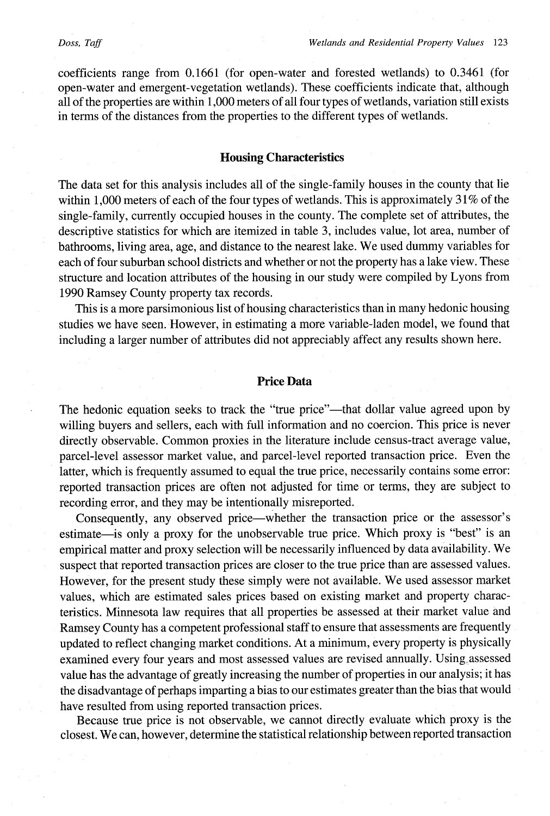coefficients range from 0.1661 (for open-water and forested wetlands) to 0.3461 (for open-water and emergent-vegetation wetlands). These coefficients indicate that, although all of the properties are within 1,000 meters of all four types of wetlands, variation still exists in terms of the distances from the properties to the different types of wetlands.

# **Housing Characteristics**

The data set for this analysis includes all of the single-family houses in the county that lie within 1,000 meters of each of the four types of wetlands. This is approximately 31% of the single-family, currently occupied houses in the county. The complete set of attributes, the descriptive statistics for which are itemized in table 3, includes value, lot area, number of bathrooms, living area, age, and distance to the nearest lake. We used dummy variables for each of four suburban school districts and whether or not the property has a lake view. These structure and location attributes of the housing in our study were compiled by Lyons from 1990 Ramsey County property tax records.

This is a more parsimonious list of housing characteristics than in many hedonic housing studies we have seen. However, in estimating a more variable-laden model, we found that including a larger number of attributes did not appreciably affect any results shown here.

## **Price Data**

The hedonic equation seeks to track the "true price"—that dollar value agreed upon by willing buyers and sellers, each with full information and no coercion. This price is never directly observable. Common proxies in the literature include census-tract average value, parcel-level assessor market value, and parcel-level reported transaction price. Even the latter, which is frequently assumed to equal the true price, necessarily contains some error: reported transaction prices are often not adjusted for time or terms, they are subject to recording error, and they may be intentionally misreported.

Consequently, any observed price-whether the transaction price or the assessor's estimate—is only a proxy for the unobservable true price. Which proxy is "best" is an empirical matter and proxy selection will be necessarily influenced by data availability. We suspect that reported transaction prices are closer to the true price than are assessed values. However, for the present study these simply were not available. We used assessor market values, which are estimated sales prices based on existing market and property characteristics. Minnesota law requires that all properties be assessed at their market value and Ramsey County has a competent professional staff to ensure that assessments are frequently updated to reflect changing market conditions. At a minimum, every property is physically examined every four years and most assessed values are revised annually. Using, assessed value has the advantage of greatly increasing the number of properties in our analysis; it has the disadvantage of perhaps imparting a bias to our estimates greater than the bias that would have resulted from using reported transaction prices.

Because true price is not observable, we cannot directly evaluate which proxy is the closest. We can, however, determine the statistical relationship between reported transaction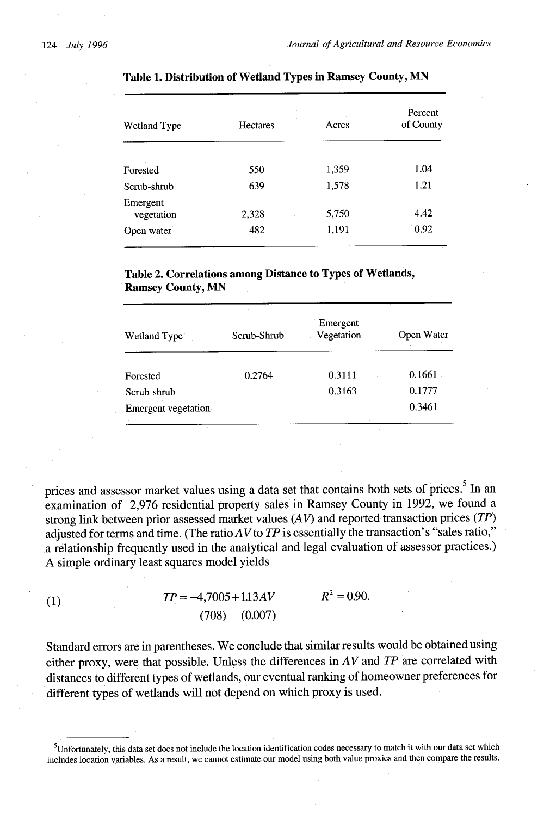| Wetland Type           | Hectares | Acres | Percent<br>of County |  |
|------------------------|----------|-------|----------------------|--|
|                        |          |       |                      |  |
| Forested               | 550      | 1,359 | 1.04                 |  |
| Scrub-shrub            | 639      | 1,578 | 1.21                 |  |
| Emergent<br>vegetation | 2,328    | 5,750 | 4.42                 |  |
| Open water             | 482      | 1,191 | 0.92                 |  |

#### **Table 1. Distribution of Wetland Types in Ramsey County, MN**

**Table 2. Correlations among Distance to Types of Wetlands, Ramsey County, MN**

| Wetland Type        | Scrub-Shrub | Emergent<br>Vegetation | Open Water |
|---------------------|-------------|------------------------|------------|
| Forested            | 0.2764      | 0.3111                 | 0.1661     |
| Scrub-shrub         |             | 0.3163                 | 0.1777     |
| Emergent vegetation |             |                        | 0.3461     |

prices and assessor market values using a data set that contains both sets of prices.<sup>5</sup> In an examination of 2,976 residential property sales in Ramsey County in 1992, we found a strong link between prior assessed market values (AV) and reported transaction prices *(TP)* adjusted for terms and time. (The ratio AV to TP is essentially the transaction's "sales ratio," a relationship frequently used in the analytical and legal evaluation of assessor practices.) A simple ordinary least squares model yields

| $\left(1\right)$ |  | $R^2 = 0.90$      |  |
|------------------|--|-------------------|--|
|                  |  | $(708)$ $(0.007)$ |  |

Standard errors are in parentheses. We conclude that similar results would be obtained using either proxy, were that possible. Unless the differences in *AV* and *TP* are correlated with distances to different types of wetlands, our eventual ranking of homeowner preferences for different types of wetlands will not depend on which proxy is used.

<sup>5</sup> Unfortunately, this data set does not include the location identification codes necessary to match it with our data set which includes location variables. As a result, we cannot estimate our model using both value proxies and then compare the results.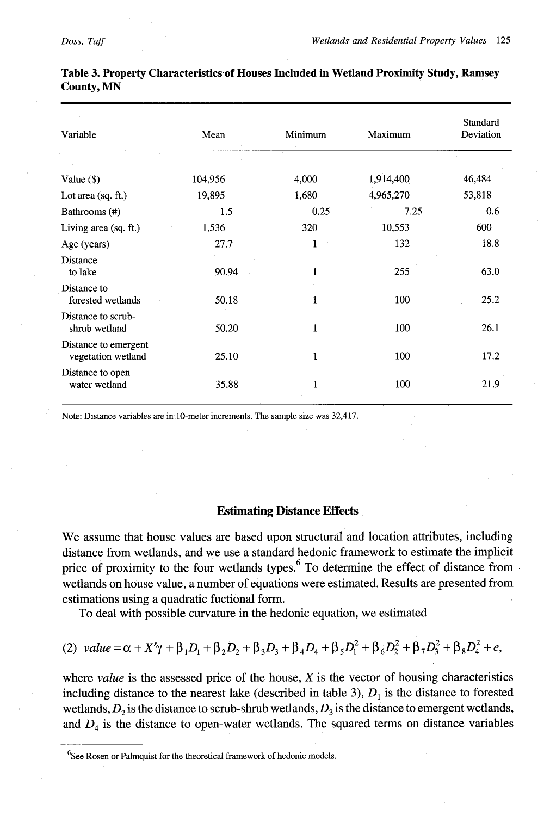| Variable                                   | Mean    | Minimum      | Maximum   | Standard<br>Deviation |
|--------------------------------------------|---------|--------------|-----------|-----------------------|
|                                            |         |              |           |                       |
| Value $(\$)$                               | 104,956 | 4,000        | 1,914,400 | 46,484                |
| Lot area $(sq. ft.)$                       | 19,895  | 1,680        | 4,965,270 | 53,818                |
| Bathrooms (#)                              | 1.5     | 0.25         | 7.25      | 0.6                   |
| Living area (sq. ft.)                      | 1,536   | 320          | 10,553    | 600                   |
| Age (years)                                | 27.7    | 1            | 132       | 18.8                  |
| Distance<br>to lake                        | 90.94   | 1            | 255       | 63.0                  |
| Distance to<br>forested wetlands           | 50.18   | 1            | 100       | 25.2                  |
| Distance to scrub-<br>shrub wetland        | 50.20   | $\mathbf{1}$ | 100       | 26.1                  |
| Distance to emergent<br>vegetation wetland | 25.10   | $\mathbf{1}$ | 100       | 17.2                  |
| Distance to open<br>water wetland          | 35.88   | 1            | 100       | 21.9                  |

**Table 3. Property Characteristics of Houses Included in Wetland Proximity Study, Ramsey County, MN**

Note: Distance variables are in 10-meter increments. The sample size was 32,417.

### **Estimating Distance Effects**

**We** assume that house values are based upon structural and location attributes, including distance from wetlands, and we use a standard hedonic framework to estimate the implicit price of proximity to the four wetlands types.<sup>6</sup> To determine the effect of distance from wetlands on house value, a number of equations were estimated. Results are presented from estimations using a quadratic fuctional form.

To deal with possible curvature in the hedonic equation, we estimated

(2) value = 
$$
\alpha + X'\gamma + \beta_1D_1 + \beta_2D_2 + \beta_3D_3 + \beta_4D_4 + \beta_5D_1^2 + \beta_6D_2^2 + \beta_7D_3^2 + \beta_8D_4^2 + e
$$
,

where *value* is the assessed price of the house, X is the vector of housing characteristics including distance to the nearest lake (described in table 3),  $D_1$  is the distance to forested wetlands,  $D_2$  is the distance to scrub-shrub wetlands,  $D_3$  is the distance to emergent wetlands, and *D4* is the distance to open-water wetlands. The squared terms on distance variables

<sup>&</sup>lt;sup>6</sup>See Rosen or Palmquist for the theoretical framework of hedonic models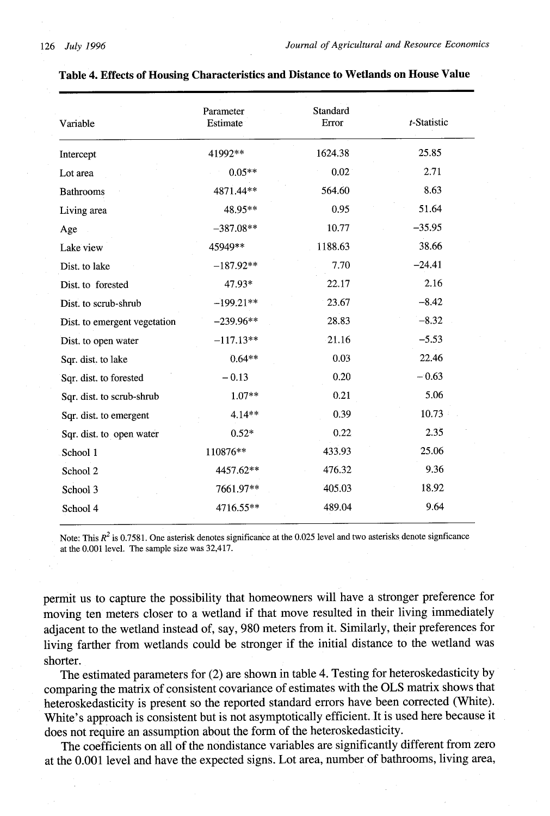| Variable                     | Parameter<br>Estimate | Standard<br>Error | t-Statistic |
|------------------------------|-----------------------|-------------------|-------------|
| Intercept                    | 41992**               | 1624.38           | 25.85       |
| Lot area                     | $0.05**$              | 0.02              | 2.71        |
| <b>Bathrooms</b>             | 4871.44**             | 564.60            | 8.63        |
| Living area                  | 48.95**               | 0.95              | 51.64       |
| Age                          | $-387.08**$           | 10.77             | $-35.95$    |
| Lake view                    | 45949**               | 1188.63           | 38.66       |
| Dist. to lake                | $-187.92**$           | 7.70              | $-24.41$    |
| Dist. to forested            | 47.93*                | 22.17             | 2.16        |
| Dist. to scrub-shrub         | $-199.21**$           | 23.67             | $-8.42$     |
| Dist. to emergent vegetation | $-239.96**$           | 28.83             | $-8.32$     |
| Dist. to open water          | $-117.13**$           | 21.16             | $-5.53$     |
| Sqr. dist. to lake           | $0.64**$              | 0.03              | 22.46       |
| Sqr. dist. to forested       | $-0.13$               | 0.20              | $-0.63$     |
| Sqr. dist. to scrub-shrub    | $1.07**$              | 0.21              | 5.06        |
| Sqr. dist. to emergent       | 4.14**                | 0.39              | 10.73       |
| Sqr. dist. to open water     | $0.52*$               | 0.22              | 2.35        |
| School 1                     | 110876**              | 433.93            | 25.06       |
| School 2                     | 4457.62**             | 476.32            | 9.36        |
| School 3                     | 7661.97**             | 405.03            | 18.92       |
| School 4                     | 4716.55**             | 489.04            | 9.64        |

# **Table 4. Effects of Housing Characteristics and Distance to Wetlands on House Value**

Note: This  $R^2$  is 0.7581. One asterisk denotes significance at the 0.025 level and two asterisks denote signficance at the 0.001 level. The sample size was 32,417.

**permit** us **to** capture the possibility that homeowners will have a stronger preference for moving ten meters closer to a wetland if that move resulted in their living immediately adjacent to the wetland instead of, say, 980 meters from it. Similarly, their preferences for living farther from wetlands could be stronger if the initial distance to the wetland was shorter.

The estimated parameters for (2) are shown in table 4. Testing for heteroskedasticity by comparing the matrix of consistent covariance of estimates with the OLS matrix shows that heteroskedasticity is present so the reported standard errors have been corrected (White). White's approach is consistent but is not asymptotically efficient. It is used here because it does not require an assumption about the form of the heteroskedasticity.

The coefficients on all of the nondistance variables are significantly different from zero at the 0.001 level and have the expected signs. Lot area, number of bathrooms, living area,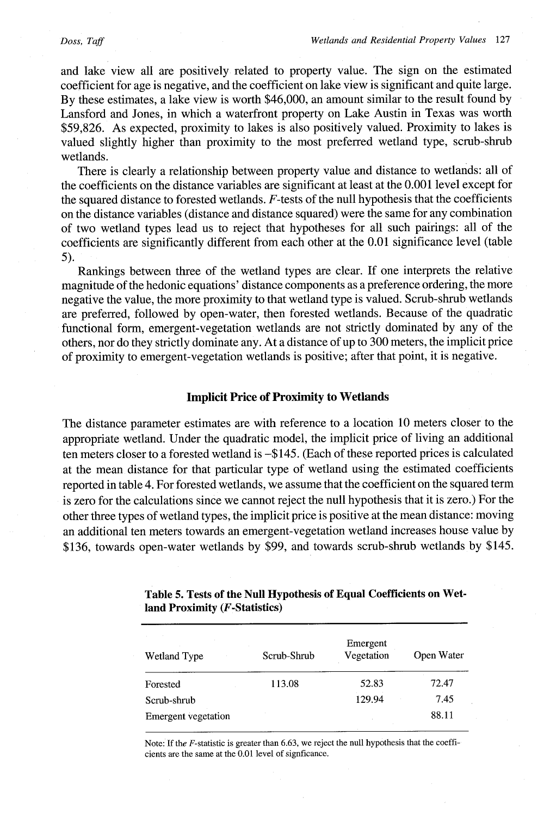#### *Doss, Taft*

and lake view all are positively related to property value. The sign on the estimated coefficient for age is negative, and the coefficient on lake view is significant and quite large. By these estimates, a lake view is worth \$46,000, an amount similar to the result found by Lansford and Jones, in which a waterfront property on Lake Austin in Texas was worth \$59,826. As expected, proximity to lakes is also positively valued. Proximity to lakes is valued slightly higher than proximity to the most preferred wetland type, scrub-shrub wetlands.

There is clearly a relationship between property value and distance to wetlands: all of the coefficients on the distance variables are significant at least at the 0.001 level except for the squared distance to forested wetlands. F-tests of the null hypothesis that the coefficients on the distance variables (distance and distance squared) were the same for any combination of two wetland types lead us to reject that hypotheses for all such pairings: all of the coefficients are significantly different from each other at the 0.01 significance level (table 5).

Rankings between three of the wetland types are clear. If one interprets the relative magnitude of the hedonic equations' distance components as a preference ordering, the more negative the value, the more proximity to that wetland type is valued. Scrub-shrub wetlands are preferred, followed by open-water, then forested wetlands. Because of the quadratic functional form, emergent-vegetation wetlands are not strictly dominated by any of the others, nor do they strictly dominate any. At a distance of up to 300 meters, the implicit price of proximity to emergent-vegetation wetlands is positive; after that point, it is negative.

## **Implicit Price of Proximity to Wetlands**

The distance parameter estimates are with reference to a location 10 meters closer to the appropriate wetland. Under the quadratic model, the implicit price of living an additional ten meters closer to a forested wetland is -\$145. (Each of these reported prices is calculated at the mean distance for that particular type of wetland using the estimated coefficients reported in table 4. For forested wetlands, we assume that the coefficient on the squared term is zero for the calculations since we cannot reject the null hypothesis that it is zero.) For the other three types of wetland types, the implicit price is positive at the mean distance: moving an additional ten meters towards an emergent-vegetation wetland increases house value by \$136, towards open-water wetlands by \$99, and towards scrub-shrub wetlands by \$145.

| Wetland Type        | Scrub-Shrub | Emergent<br>Vegetation | Open Water |
|---------------------|-------------|------------------------|------------|
| Forested            | 113.08      | 52.83                  | 72.47      |
| Scrub-shrub         |             | 129.94                 | 7.45       |
| Emergent vegetation |             |                        | 88.11      |

**Table 5. Tests of the Null Hypothesis of Equal Coefficients on Wetland Proximity (F-Statistics)**

Note: If the F-statistic is greater than 6.63, we reject the null hypothesis that the coefficients are the same at the 0.01 level of signficance.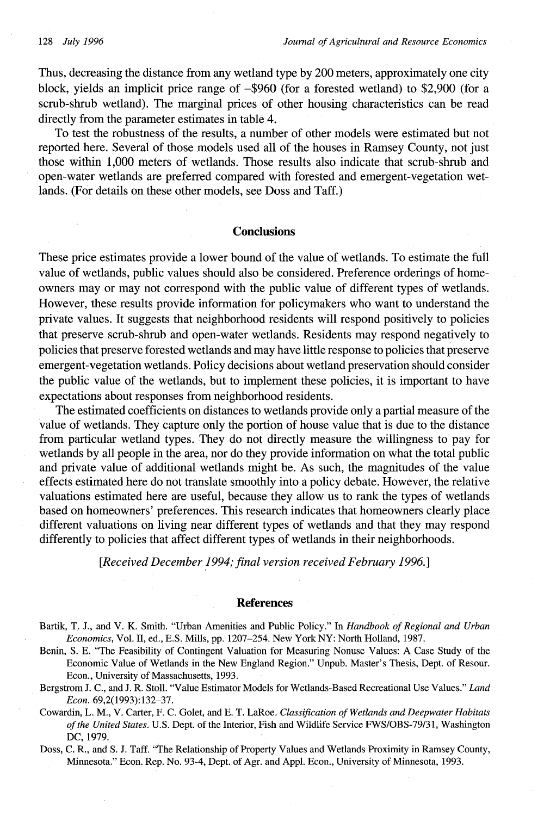Thus, decreasing the distance from any wetland type by 200 meters, approximately one city block, yields an implicit price range of -\$960 (for a forested wetland) to \$2,900 (for a scrub-shrub wetland). The marginal prices of other housing characteristics can be read directly from the parameter estimates in table 4.

To test the robustness of the results, a number of other models were estimated but not reported here. Several of those models used all of the houses in Ramsey County, not just those within 1,000 meters of wetlands. Those results also indicate that scrub-shrub and open-water wetlands are preferred compared with forested and emergent-vegetation wetlands. (For details on these other models, see Doss and Taff.)

#### **Conclusions**

These price estimates provide a lower bound of the value of wetlands. To estimate the full value of wetlands, public values should also be considered. Preference orderings of homeowners may or may not correspond with the public value of different types of wetlands. However, these results provide information for policymakers who want to understand the private values. It suggests that neighborhood residents will respond positively to policies that preserve scrub-shrub and open-water wetlands. Residents may respond negatively to policies that preserve forested wetlands and may have little response to policies that preserve emergent-vegetation wetlands. Policy decisions about wetland preservation should consider the public value of the wetlands, but to implement these policies, it is important to have expectations about responses from neighborhood residents.

The estimated coefficients on distances to wetlands provide only a partial measure of the value of wetlands. They capture only the portion of house value that is due to the distance from particular wetland types. They do not directly measure the willingness to pay for wetlands by all people in the area, nor do they provide information on what the total public and private value of additional wetlands might be. As such, the magnitudes of the value effects estimated here do not translate smoothly into a policy debate. However, the relative valuations estimated here are useful, because they allow us to rank the types of wetlands based on homeowners' preferences. This research indicates that homeowners clearly place different valuations on living near different types of wetlands and that they may respond differently to policies that affect different types of wetlands in their neighborhoods.

*[Received December 1994; final version received February 1996.]*

#### **References**

- Bartik, T. J., and V. K. Smith. "Urban Amenities and Public Policy." In *Handbook of Regional and Urban Economics,* Vol. II, ed., E.S. Mills, pp. 1207-254. New York NY: North Holland, 1987.
- Benin, S. E. "The Feasibility of Contingent Valuation for Measuring Nonuse Values: A Case Study of the Economic Value of Wetlands in the New England Region." Unpub. Master's Thesis, Dept. of Resour. Econ., University of Massachusetts, 1993.
- Bergstrom J. C., and J. R. Stoll. "Value Estimator Models for Wetlands-Based Recreational Use Values." *Land Econ.* 69,2(1993):132-37.
- Cowardin, L. M., V. Carter, F. C. Golet, and E. T. LaRoe. *Classification of Wetlands and Deepwater Habitats of the United States.* U.S. Dept. of the Interior, Fish and Wildlife Service FWS/OBS-79/31, Washington DC, 1979.
- Doss, C. R., and S. Taff. "The Relationship of Property Values and Wetlands Proximity in Ramsey County, Minnesota." Econ. Rep. No. 93-4, Dept. of Agr. and Appl. Econ., University of Minnesota, 1993.